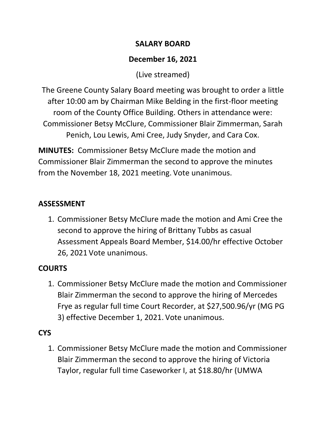#### **SALARY BOARD**

## **December 16, 2021**

(Live streamed)

The Greene County Salary Board meeting was brought to order a little after 10:00 am by Chairman Mike Belding in the first-floor meeting room of the County Office Building. Others in attendance were: Commissioner Betsy McClure, Commissioner Blair Zimmerman, Sarah Penich, Lou Lewis, Ami Cree, Judy Snyder, and Cara Cox.

**MINUTES:** Commissioner Betsy McClure made the motion and Commissioner Blair Zimmerman the second to approve the minutes from the November 18, 2021 meeting. Vote unanimous.

## **ASSESSMENT**

1. Commissioner Betsy McClure made the motion and Ami Cree the second to approve the hiring of Brittany Tubbs as casual Assessment Appeals Board Member, \$14.00/hr effective October 26, 2021 Vote unanimous.

## **COURTS**

1. Commissioner Betsy McClure made the motion and Commissioner Blair Zimmerman the second to approve the hiring of Mercedes Frye as regular full time Court Recorder, at \$27,500.96/yr (MG PG 3) effective December 1, 2021. Vote unanimous.

# **CYS**

1. Commissioner Betsy McClure made the motion and Commissioner Blair Zimmerman the second to approve the hiring of Victoria Taylor, regular full time Caseworker I, at \$18.80/hr (UMWA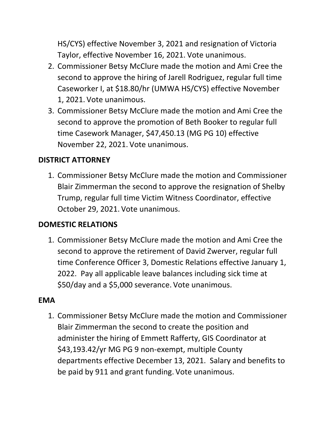HS/CYS) effective November 3, 2021 and resignation of Victoria Taylor, effective November 16, 2021. Vote unanimous.

- 2. Commissioner Betsy McClure made the motion and Ami Cree the second to approve the hiring of Jarell Rodriguez, regular full time Caseworker I, at \$18.80/hr (UMWA HS/CYS) effective November 1, 2021. Vote unanimous.
- 3. Commissioner Betsy McClure made the motion and Ami Cree the second to approve the promotion of Beth Booker to regular full time Casework Manager, \$47,450.13 (MG PG 10) effective November 22, 2021. Vote unanimous.

#### **DISTRICT ATTORNEY**

1. Commissioner Betsy McClure made the motion and Commissioner Blair Zimmerman the second to approve the resignation of Shelby Trump, regular full time Victim Witness Coordinator, effective October 29, 2021. Vote unanimous.

#### **DOMESTIC RELATIONS**

1. Commissioner Betsy McClure made the motion and Ami Cree the second to approve the retirement of David Zwerver, regular full time Conference Officer 3, Domestic Relations effective January 1, 2022. Pay all applicable leave balances including sick time at \$50/day and a \$5,000 severance. Vote unanimous.

#### **EMA**

1. Commissioner Betsy McClure made the motion and Commissioner Blair Zimmerman the second to create the position and administer the hiring of Emmett Rafferty, GIS Coordinator at \$43,193.42/yr MG PG 9 non-exempt, multiple County departments effective December 13, 2021. Salary and benefits to be paid by 911 and grant funding. Vote unanimous.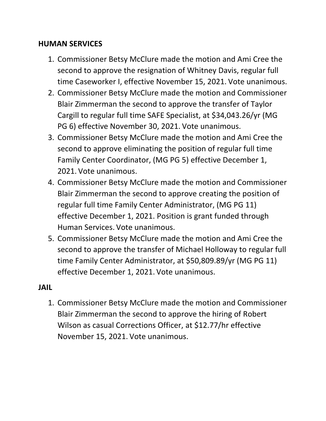#### **HUMAN SERVICES**

- 1. Commissioner Betsy McClure made the motion and Ami Cree the second to approve the resignation of Whitney Davis, regular full time Caseworker I, effective November 15, 2021. Vote unanimous.
- 2. Commissioner Betsy McClure made the motion and Commissioner Blair Zimmerman the second to approve the transfer of Taylor Cargill to regular full time SAFE Specialist, at \$34,043.26/yr (MG PG 6) effective November 30, 2021. Vote unanimous.
- 3. Commissioner Betsy McClure made the motion and Ami Cree the second to approve eliminating the position of regular full time Family Center Coordinator, (MG PG 5) effective December 1, 2021. Vote unanimous.
- 4. Commissioner Betsy McClure made the motion and Commissioner Blair Zimmerman the second to approve creating the position of regular full time Family Center Administrator, (MG PG 11) effective December 1, 2021. Position is grant funded through Human Services. Vote unanimous.
- 5. Commissioner Betsy McClure made the motion and Ami Cree the second to approve the transfer of Michael Holloway to regular full time Family Center Administrator, at \$50,809.89/yr (MG PG 11) effective December 1, 2021. Vote unanimous.

#### **JAIL**

1. Commissioner Betsy McClure made the motion and Commissioner Blair Zimmerman the second to approve the hiring of Robert Wilson as casual Corrections Officer, at \$12.77/hr effective November 15, 2021. Vote unanimous.